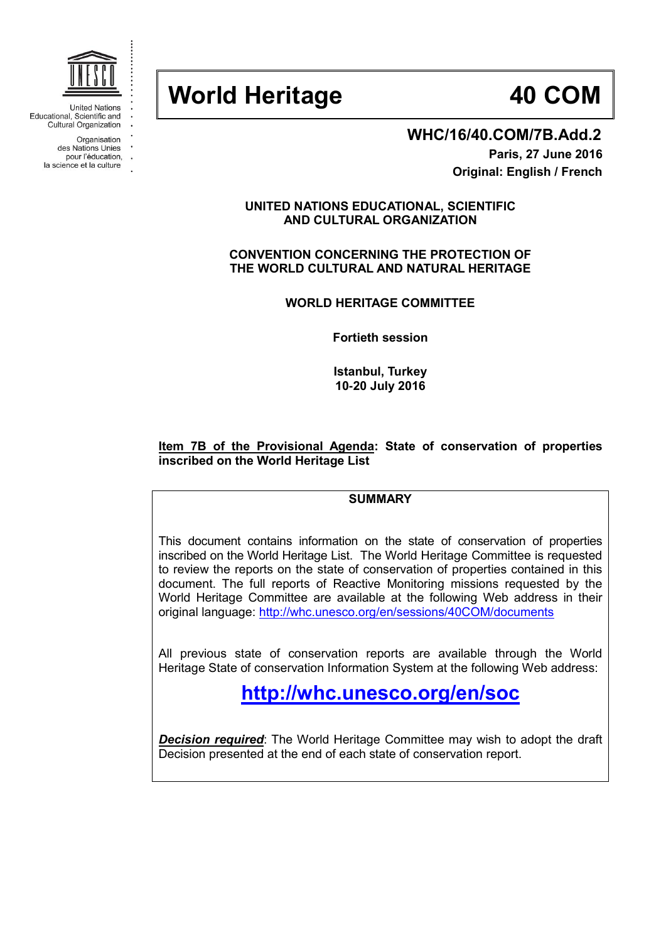

**United Nations** Educational, Scientific and Cultural Organization

> Organisation des Nations Unies

- pour l'éducation,
- la science et la culture

# **World Heritage 40 COM**

### **WHC/16/40.COM/7B.Add.2**

**Paris, 27 June 2016 Original: English / French**

#### **UNITED NATIONS EDUCATIONAL, SCIENTIFIC AND CULTURAL ORGANIZATION**

**CONVENTION CONCERNING THE PROTECTION OF THE WORLD CULTURAL AND NATURAL HERITAGE**

**WORLD HERITAGE COMMITTEE**

**Fortieth session**

**Istanbul, Turkey 10-20 July 2016**

#### **Item 7B of the Provisional Agenda: State of conservation of properties inscribed on the World Heritage List**

#### **SUMMARY**

This document contains information on the state of conservation of properties inscribed on the World Heritage List. The World Heritage Committee is requested to review the reports on the state of conservation of properties contained in this document. The full reports of Reactive Monitoring missions requested by the World Heritage Committee are available at the following Web address in their original language:<http://whc.unesco.org/en/sessions/40COM/documents>

All previous state of conservation reports are available through the World Heritage State of conservation Information System at the following Web address:

## **<http://whc.unesco.org/en/soc>**

**Decision required:** The World Heritage Committee may wish to adopt the draft Decision presented at the end of each state of conservation report.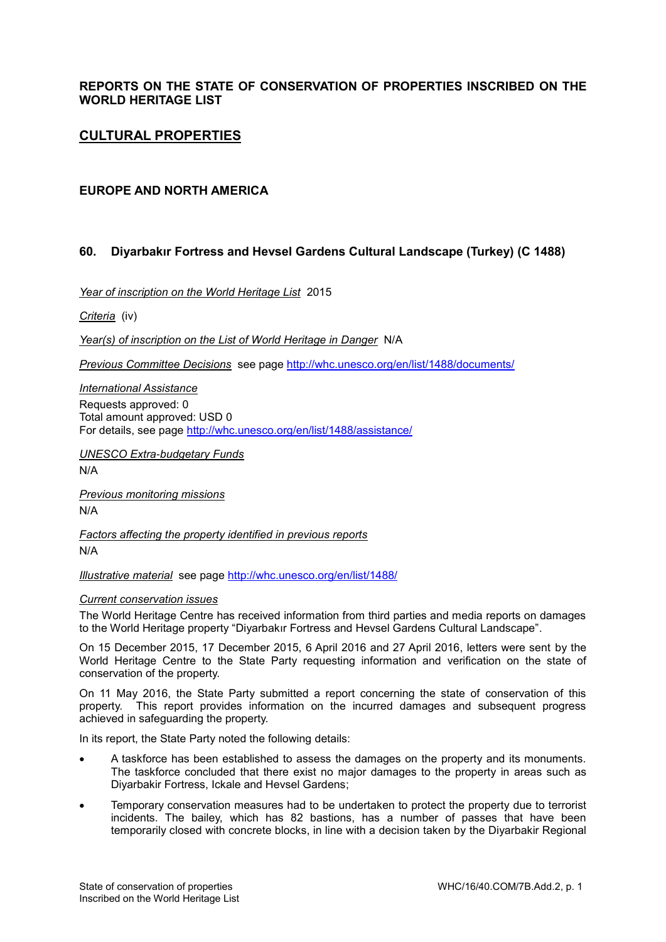#### **REPORTS ON THE STATE OF CONSERVATION OF PROPERTIES INSCRIBED ON THE WORLD HERITAGE LIST**

#### **CULTURAL PROPERTIES**

#### **EUROPE AND NORTH AMERICA**

#### **60. Diyarbakır Fortress and Hevsel Gardens Cultural Landscape (Turkey) (C 1488)**

*Year of inscription on the World Heritage List* 2015

*Criteria* (iv)

*Year(s) of inscription on the List of World Heritage in Danger* N/A

*Previous Committee Decisions* see page [http://whc.unesco.org/en/list/1488/documents/](http://whc.unesco.org/en/list/1488/documents)

*International Assistance*  Requests approved: 0 Total amount approved: USD 0 For details, see page [http://whc.unesco.org/en/list/1488/assistance/](http://whc.unesco.org/en/list/1488/assistance)

*UNESCO Extra-budgetary Funds* 

N/A

*Previous monitoring missions*  N/A

*Factors affecting the property identified in previous reports*  N/A

*Illustrative material* see page<http://whc.unesco.org/en/list/1488/>

#### *Current conservation issues*

The World Heritage Centre has received information from third parties and media reports on damages to the World Heritage property "Diyarbakır Fortress and Hevsel Gardens Cultural Landscape".

On 15 December 2015, 17 December 2015, 6 April 2016 and 27 April 2016, letters were sent by the World Heritage Centre to the State Party requesting information and verification on the state of conservation of the property.

On 11 May 2016, the State Party submitted a report concerning the state of conservation of this property. This report provides information on the incurred damages and subsequent progress achieved in safeguarding the property.

In its report, the State Party noted the following details:

- A taskforce has been established to assess the damages on the property and its monuments. The taskforce concluded that there exist no major damages to the property in areas such as Diyarbakir Fortress, Ickale and Hevsel Gardens;
- Temporary conservation measures had to be undertaken to protect the property due to terrorist incidents. The bailey, which has 82 bastions, has a number of passes that have been temporarily closed with concrete blocks, in line with a decision taken by the Diyarbakir Regional